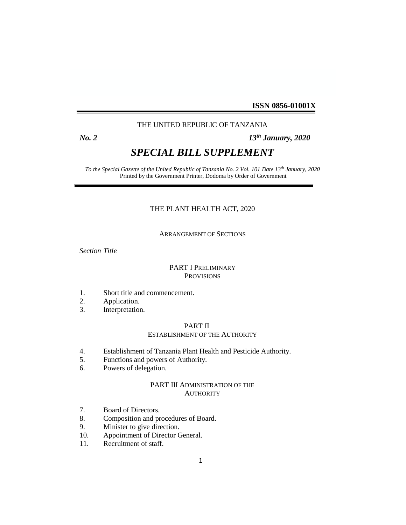**ISSN 0856-01001X**

# THE UNITED REPUBLIC OF TANZANIA

# *No. 2 13th January, 2020*

# *SPECIAL BILL SUPPLEMENT*

*To the Special Gazette of the United Republic of Tanzania No. 2 Vol. 101 Date 13 th January, 2020* Printed by the Government Printer, Dodoma by Order of Government

# THE PLANT HEALTH ACT, 2020

### ARRANGEMENT OF SECTIONS

*Section Title*

## PART I PRELIMINARY PROVISIONS

- 1. Short title and commencement.
- 2. Application.
- 3. Interpretation.

### PART II

#### ESTABLISHMENT OF THE AUTHORITY

- 4. Establishment of Tanzania Plant Health and Pesticide Authority.
- 5. Functions and powers of Authority.
- 6. Powers of delegation.

### PART III ADMINISTRATION OF THE **AUTHORITY**

- 7. Board of Directors.
- 8. Composition and procedures of Board.<br>9. Minister to give direction.
- Minister to give direction.
- 10. Appointment of Director General.
- 11. Recruitment of staff.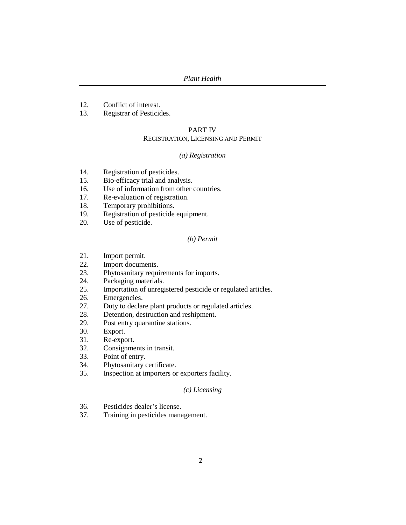- 12. Conflict of interest.
- 13. Registrar of Pesticides.

#### PART IV

# REGISTRATION, LICENSING AND PERMIT

### *(a) Registration*

- 14. Registration of pesticides.
- 15. Bio-efficacy trial and analysis.
- 16. Use of information from other countries.
- 17. Re-evaluation of registration.
- 18. Temporary prohibitions.
- 19. Registration of pesticide equipment.
- 20. Use of pesticide.

### *(b) Permit*

- 21. Import permit.
- 22. Import documents.
- 23. Phytosanitary requirements for imports.
- 24. Packaging materials.
- 25. Importation of unregistered pesticide or regulated articles.
- 26. Emergencies.
- 27. Duty to declare plant products or regulated articles.
- 28. Detention, destruction and reshipment.
- 29. Post entry quarantine stations.
- 30. Export.
- 31. Re-export.
- 32. Consignments in transit.
- 33. Point of entry.
- 34. Phytosanitary certificate.
- 35. Inspection at importers or exporters facility.

# *(c) Licensing*

- 36. Pesticides dealer's license.
- 37. Training in pesticides management.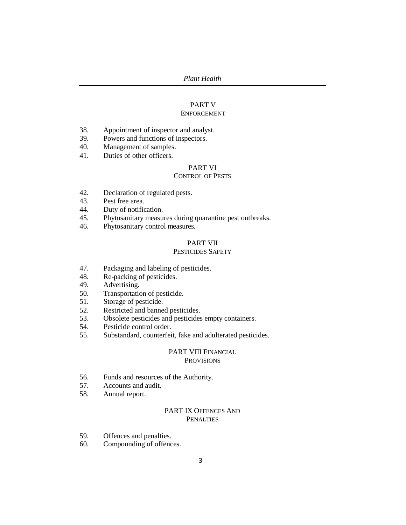# PART V

## ENFORCEMENT

- 38. Appointment of inspector and analyst.
- 39. Powers and functions of inspectors.
- 40. Management of samples.
- 41. Duties of other officers.

# PART VI

# CONTROL OF PESTS

- 42. Declaration of regulated pests.<br>43. Pest free area.
- Pest free area.
- 44. Duty of notification.
- 45. Phytosanitary measures during quarantine pest outbreaks.
- 46. Phytosanitary control measures.

# PART VII

# PESTICIDES SAFETY

- 47. Packaging and labeling of pesticides.
- 48. Re-packing of pesticides.<br>49. Advertising.
- Advertising.
- 50. Transportation of pesticide.
- 51. Storage of pesticide.
- 52. Restricted and banned pesticides.
- 53. Obsolete pesticides and pesticides empty containers.
- 54. Pesticide control order.
- 55. Substandard, counterfeit, fake and adulterated pesticides.

### PART VIII FINANCIAL **PROVISIONS**

- 56. Funds and resources of the Authority.
- 57. Accounts and audit.
- 58. Annual report.

# PART IX OFFENCES AND PENALTIES

- 59. Offences and penalties.
- 60. Compounding of offences.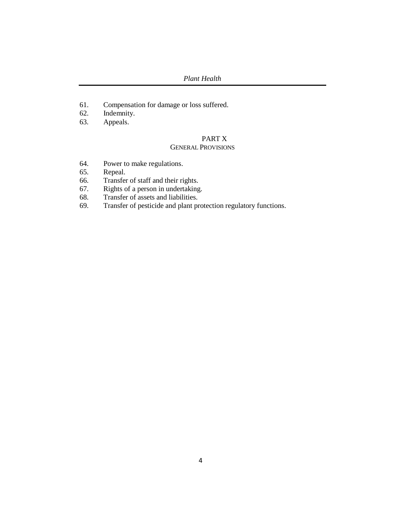*Plant Health*

- 61. Compensation for damage or loss suffered.
- 62. Indemnity.
- 63. Appeals.

# PART X

# GENERAL PROVISIONS

- 64. Power to make regulations.
- 65. Repeal.
- 66. Transfer of staff and their rights.
- 67. Rights of a person in undertaking.
- 68. Transfer of assets and liabilities.
- 69. Transfer of pesticide and plant protection regulatory functions.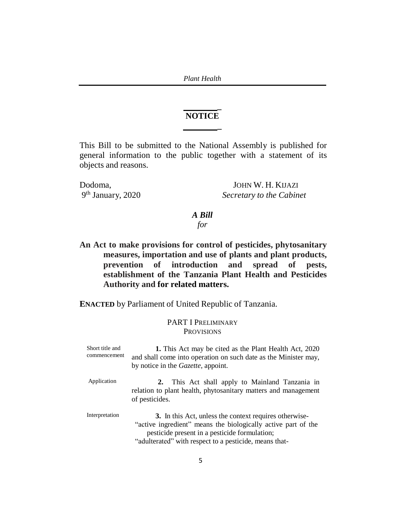*Plant Health*

# **NOTICE \_**

**\_** 

This Bill to be submitted to the National Assembly is published for general information to the public together with a statement of its objects and reasons.

9 th

Dodoma, JOHN W. H. KIJAZI **Secretary** to the Cabinet

# *A Bill*

# *for*

**An Act to make provisions for control of pesticides, phytosanitary measures, importation and use of plants and plant products, prevention of introduction and spread of pests, establishment of the Tanzania Plant Health and Pesticides Authority and for related matters.**

**ENACTED** by Parliament of United Republic of Tanzania.

# PART I PRELIMINARY **PROVISIONS**

| Short title and<br>commencement | 1. This Act may be cited as the Plant Health Act, 2020<br>and shall come into operation on such date as the Minister may,<br>by notice in the <i>Gazette</i> , appoint.                                                            |
|---------------------------------|------------------------------------------------------------------------------------------------------------------------------------------------------------------------------------------------------------------------------------|
| Application                     | This Act shall apply to Mainland Tanzania in<br>2.<br>relation to plant health, phytosanitary matters and management<br>of pesticides.                                                                                             |
| Interpretation                  | 3. In this Act, unless the context requires otherwise-<br>"active ingredient" means the biologically active part of the<br>pesticide present in a pesticide formulation;<br>"adulterated" with respect to a pesticide, means that- |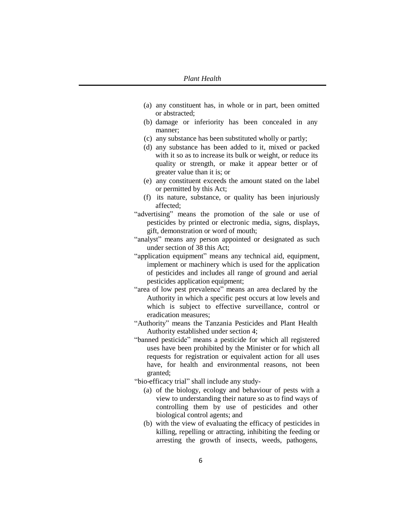- (a) any constituent has, in whole or in part, been omitted or abstracted;
- (b) damage or inferiority has been concealed in any manner;
- (c) any substance has been substituted wholly or partly;
- (d) any substance has been added to it, mixed or packed with it so as to increase its bulk or weight, or reduce its quality or strength, or make it appear better or of greater value than it is; or
- (e) any constituent exceeds the amount stated on the label or permitted by this Act;
- (f) its nature, substance, or quality has been injuriously affected;
- "advertising" means the promotion of the sale or use of pesticides by printed or electronic media, signs, displays, gift, demonstration or word of mouth;
- "analyst" means any person appointed or designated as such under section of 38 this Act;
- "application equipment" means any technical aid, equipment, implement or machinery which is used for the application of pesticides and includes all range of ground and aerial pesticides application equipment;
- "area of low pest prevalence" means an area declared by the Authority in which a specific pest occurs at low levels and which is subject to effective surveillance, control or eradication measures;
- "Authority" means the Tanzania Pesticides and Plant Health Authority established under section 4;
- "banned pesticide" means a pesticide for which all registered uses have been prohibited by the Minister or for which all requests for registration or equivalent action for all uses have, for health and environmental reasons, not been granted;
- "bio-efficacy trial" shall include any study-
	- (a) of the biology, ecology and behaviour of pests with a view to understanding their nature so as to find ways of controlling them by use of pesticides and other biological control agents; and
	- (b) with the view of evaluating the efficacy of pesticides in killing, repelling or attracting, inhibiting the feeding or arresting the growth of insects, weeds, pathogens,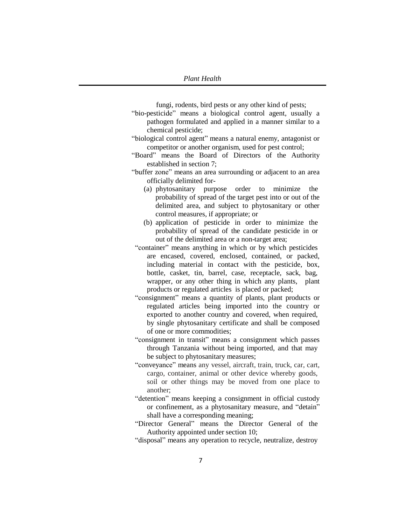fungi, rodents, bird pests or any other kind of pests;

- "bio-pesticide" means a biological control agent, usually a pathogen formulated and applied in a manner similar to a chemical pesticide;
- "biological control agent" means a natural enemy, antagonist or competitor or another organism, used for pest control;
- "Board" means the Board of Directors of the Authority established in section 7;
- "buffer zone" means an area surrounding or adjacent to an area officially delimited for-
	- (a) phytosanitary purpose order to minimize the probability of spread of the target pest into or out of the delimited area, and subject to phytosanitary or other control measures, if appropriate; or
	- (b) application of pesticide in order to minimize the probability of spread of the candidate pesticide in or out of the delimited area or a non-target area;
- "container" means anything in which or by which pesticides are encased, covered, enclosed, contained, or packed, including material in contact with the pesticide, box, bottle, casket, tin, barrel, case, receptacle, sack, bag, wrapper, or any other thing in which any plants, plant products or regulated articles is placed or packed;
- "consignment" means a quantity of plants, plant products or regulated articles being imported into the country or exported to another country and covered, when required, by single phytosanitary certificate and shall be composed of one or more commodities;
- "consignment in transit" means a consignment which passes through Tanzania without being imported, and that may be subject to phytosanitary measures;
- "conveyance" means any vessel, aircraft, train, truck, car, cart, cargo, container, animal or other device whereby goods, soil or other things may be moved from one place to another;
- "detention" means keeping a consignment in official custody or confinement, as a phytosanitary measure, and "detain" shall have a corresponding meaning;
- "Director General" means the Director General of the Authority appointed under section 10;
- "disposal" means any operation to recycle, neutralize, destroy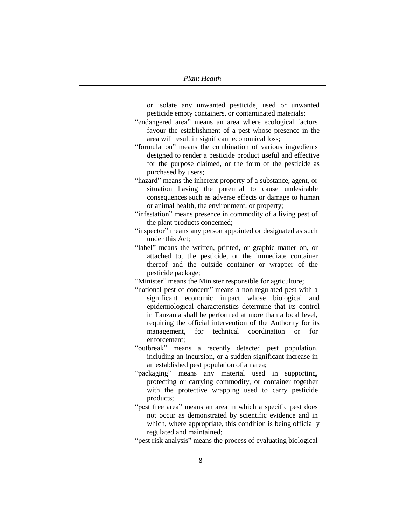or isolate any unwanted pesticide, used or unwanted pesticide empty containers, or contaminated materials;

"endangered area" means an area where ecological factors favour the establishment of a pest whose presence in the area will result in significant economical loss;

"formulation" means the combination of various ingredients designed to render a pesticide product useful and effective for the purpose claimed, or the form of the pesticide as purchased by users;

"hazard" means the inherent property of a substance, agent, or situation having the potential to cause undesirable consequences such as adverse effects or damage to human or animal health, the environment, or property;

"infestation" means presence in commodity of a living pest of the plant products concerned;

"inspector" means any person appointed or designated as such under this Act;

"label" means the written, printed, or graphic matter on, or attached to, the pesticide, or the immediate container thereof and the outside container or wrapper of the pesticide package;

"Minister" means the Minister responsible for agriculture;

- "national pest of concern" means a non-regulated pest with a significant economic impact whose biological and epidemiological characteristics determine that its control in Tanzania shall be performed at more than a local level, requiring the official intervention of the Authority for its management, for technical coordination or for enforcement;
- "outbreak" means a recently detected pest population, including an incursion, or a sudden significant increase in an established pest population of an area;
- "packaging" means any material used in supporting, protecting or carrying commodity, or container together with the protective wrapping used to carry pesticide products;
- "pest free area" means an area in which a specific pest does not occur as demonstrated by scientific evidence and in which, where appropriate, this condition is being officially regulated and maintained;

"pest risk analysis" means the process of evaluating biological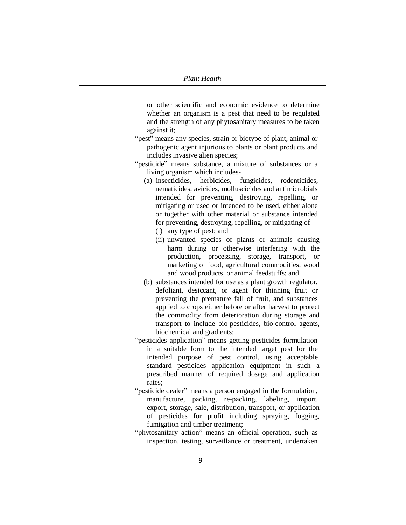or other scientific and economic evidence to determine whether an organism is a pest that need to be regulated and the strength of any phytosanitary measures to be taken against it;

- "pest" means any species, strain or biotype of plant, animal or pathogenic agent injurious to plants or plant products and includes invasive alien species;
- "pesticide" means substance, a mixture of substances or a living organism which includes-
	- (a) insecticides, herbicides, fungicides, rodenticides, nematicides, avicides, molluscicides and antimicrobials intended for preventing, destroying, repelling, or mitigating or used or intended to be used, either alone or together with other material or substance intended for preventing, destroying, repelling, or mitigating of-
		- (i) any type of pest; and
		- (ii) unwanted species of plants or animals causing harm during or otherwise interfering with the production, processing, storage, transport, or marketing of food, agricultural commodities, wood and wood products, or animal feedstuffs; and
	- (b) substances intended for use as a plant growth regulator, defoliant, desiccant, or agent for thinning fruit or preventing the premature fall of fruit, and substances applied to crops either before or after harvest to protect the commodity from deterioration during storage and transport to include bio-pesticides, bio-control agents, biochemical and gradients;
- "pesticides application" means getting pesticides formulation in a suitable form to the intended target pest for the intended purpose of pest control, using acceptable standard pesticides application equipment in such a prescribed manner of required dosage and application rates;
- "pesticide dealer" means a person engaged in the formulation, manufacture, packing, re-packing, labeling, import, export, storage, sale, distribution, transport, or application of pesticides for profit including spraying, fogging, fumigation and timber treatment;
- "phytosanitary action" means an official operation, such as inspection, testing, surveillance or treatment, undertaken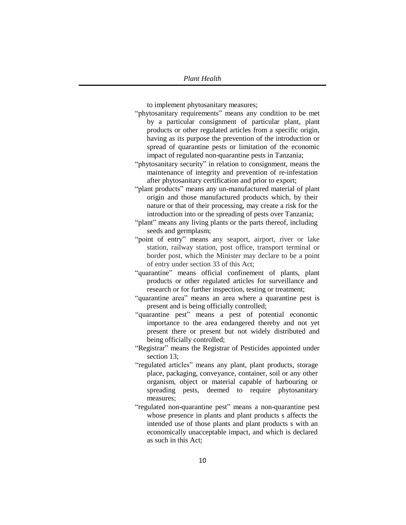to implement phytosanitary measures;

- "phytosanitary requirements" means any condition to be met by a particular consignment of particular plant, plant products or other regulated articles from a specific origin, having as its purpose the prevention of the introduction or spread of quarantine pests or limitation of the economic impact of regulated non-quarantine pests in Tanzania;
- "phytosanitary security" in relation to consignment, means the maintenance of integrity and prevention of re-infestation after phytosanitary certification and prior to export;
- "plant products" means any un-manufactured material of plant origin and those manufactured products which, by their nature or that of their processing, may create a risk for the introduction into or the spreading of pests over Tanzania;
- "plant" means any living plants or the parts thereof, including seeds and germplasm;
- "point of entry" means any seaport, airport, river or lake station, railway station, post office, transport terminal or border post, which the Minister may declare to be a point of entry under section 33 of this Act;
- "quarantine" means official confinement of plants, plant products or other regulated articles for surveillance and research or for further inspection, testing or treatment;
- "quarantine area" means an area where a quarantine pest is present and is being officially controlled;
- "quarantine pest" means a pest of potential economic importance to the area endangered thereby and not yet present there or present but not widely distributed and being officially controlled;
- "Registrar" means the Registrar of Pesticides appointed under section 13;
- "regulated articles" means any plant, plant products, storage place, packaging, conveyance, container, soil or any other organism, object or material capable of harbouring or spreading pests, deemed to require phytosanitary measures;
- "regulated non-quarantine pest" means a non-quarantine pest whose presence in plants and plant products s affects the intended use of those plants and plant products s with an economically unacceptable impact, and which is declared as such in this Act;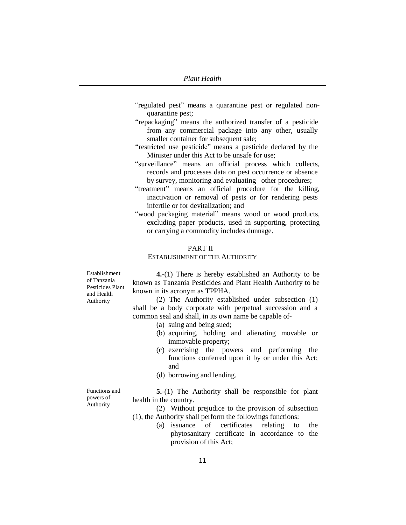- "regulated pest" means a quarantine pest or regulated nonquarantine pest;
- "repackaging" means the authorized transfer of a pesticide from any commercial package into any other, usually smaller container for subsequent sale;
- "restricted use pesticide" means a pesticide declared by the Minister under this Act to be unsafe for use;
- "surveillance" means an official process which collects, records and processes data on pest occurrence or absence by survey, monitoring and evaluating other procedures;
- "treatment" means an official procedure for the killing, inactivation or removal of pests or for rendering pests infertile or for devitalization; and
- "wood packaging material" means wood or wood products, excluding paper products, used in supporting, protecting or carrying a commodity includes dunnage.

### PART II

#### ESTABLISHMENT OF THE AUTHORITY

Establishment of Tanzania Pesticides Plant and Health Authority

**4.-**(1) There is hereby established an Authority to be known as Tanzania Pesticides and Plant Health Authority to be known in its acronym as TPPHA.

(2) The Authority established under subsection (1) shall be a body corporate with perpetual succession and a common seal and shall, in its own name be capable of-

- (a) suing and being sued;
- (b) acquiring, holding and alienating movable or immovable property;
- (c) exercising the powers and performing the functions conferred upon it by or under this Act; and
- (d) borrowing and lending.

Functions and powers of Authority

**5.-**(1) The Authority shall be responsible for plant health in the country.

- (2) Without prejudice to the provision of subsection (1), the Authority shall perform the followings functions:
	- (a) issuance of certificates relating to the phytosanitary certificate in accordance to the provision of this Act;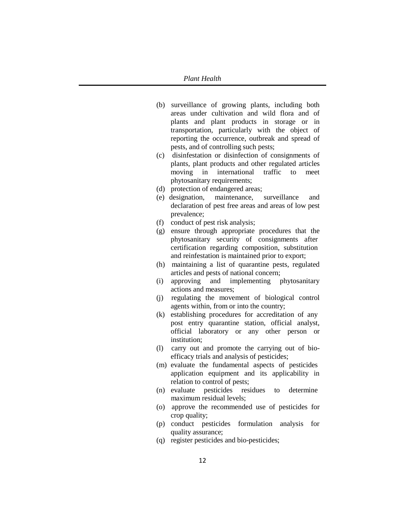- (b) surveillance of growing plants, including both areas under cultivation and wild flora and of plants and plant products in storage or in transportation, particularly with the object of reporting the occurrence, outbreak and spread of pests, and of controlling such pests;
- (c) disinfestation or disinfection of consignments of plants, plant products and other regulated articles moving in international traffic to meet phytosanitary requirements;
- (d) protection of endangered areas;
- (e) designation, maintenance, surveillance and declaration of pest free areas and areas of low pest prevalence;
- (f) conduct of pest risk analysis;
- (g) ensure through appropriate procedures that the phytosanitary security of consignments after certification regarding composition, substitution and reinfestation is maintained prior to export;
- (h) maintaining a list of quarantine pests, regulated articles and pests of national concern;
- (i) approving and implementing phytosanitary actions and measures;
- (j) regulating the movement of biological control agents within, from or into the country;
- (k) establishing procedures for accreditation of any post entry quarantine station, official analyst, official laboratory or any other person or institution;
- (l) carry out and promote the carrying out of bioefficacy trials and analysis of pesticides;
- (m) evaluate the fundamental aspects of pesticides application equipment and its applicability in relation to control of pests;
- (n) evaluate pesticides residues to determine maximum residual levels;
- (o) approve the recommended use of pesticides for crop quality;
- (p) conduct pesticides formulation analysis for quality assurance;
- (q) register pesticides and bio-pesticides;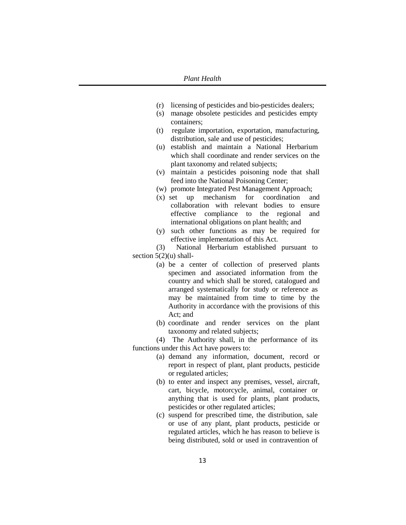- (r) licensing of pesticides and bio-pesticides dealers;
- (s) manage obsolete pesticides and pesticides empty containers;
- (t) regulate importation, exportation, manufacturing, distribution, sale and use of pesticides;
- (u) establish and maintain a National Herbarium which shall coordinate and render services on the plant taxonomy and related subjects;
- (v) maintain a pesticides poisoning node that shall feed into the National Poisoning Center;
- (w) promote Integrated Pest Management Approach;
- (x) set up mechanism for coordination and collaboration with relevant bodies to ensure effective compliance to the regional and international obligations on plant health; and
- (y) such other functions as may be required for effective implementation of this Act.

(3) National Herbarium established pursuant to section  $5(2)(u)$  shall-

- (a) be a center of collection of preserved plants specimen and associated information from the country and which shall be stored, catalogued and arranged systematically for study or reference as may be maintained from time to time by the Authority in accordance with the provisions of this Act; and
- (b) coordinate and render services on the plant taxonomy and related subjects;

(4) The Authority shall, in the performance of its functions under this Act have powers to:

- (a) demand any information, document, record or report in respect of plant, plant products, pesticide or regulated articles;
- (b) to enter and inspect any premises, vessel, aircraft, cart, bicycle, motorcycle, animal, container or anything that is used for plants, plant products, pesticides or other regulated articles;
- (c) suspend for prescribed time, the distribution, sale or use of any plant, plant products, pesticide or regulated articles, which he has reason to believe is being distributed, sold or used in contravention of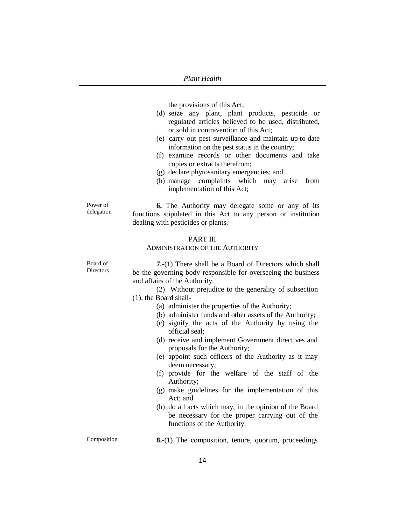the provisions of this Act;

- (d) seize any plant, plant products, pesticide or regulated articles believed to be used, distributed, or sold in contravention of this Act;
- (e) carry out pest surveillance and maintain up-to-date information on the pest status in the country;
- (f) examine records or other documents and take copies or extracts therefrom;
- (g) declare phytosanitary emergencies; and
- (h) manage complaints which may arise from implementation of this Act;

**6.** The Authority may delegate some or any of its functions stipulated in this Act to any person or institution dealing with pesticides or plants.

### PART III

### ADMINISTRATION OF THE AUTHORITY

Board of **Directors** 

Power of delegation

> **7.-**(1) There shall be a Board of Directors which shall be the governing body responsible for overseeing the business and affairs of the Authority.

(2) Without prejudice to the generality of subsection (1), the Board shall-

- (a) administer the properties of the Authority;
- (b) administer funds and other assets of the Authority;
- (c) signify the acts of the Authority by using the official seal;
- (d) receive and implement Government directives and proposals for the Authority;
- (e) appoint such officers of the Authority as it may deem necessary;
- (f) provide for the welfare of the staff of the Authority;
- (g) make guidelines for the implementation of this Act; and
- (h) do all acts which may, in the opinion of the Board be necessary for the proper carrying out of the functions of the Authority.

Composition **8.-**(1) The composition, tenure, quorum, proceedings

14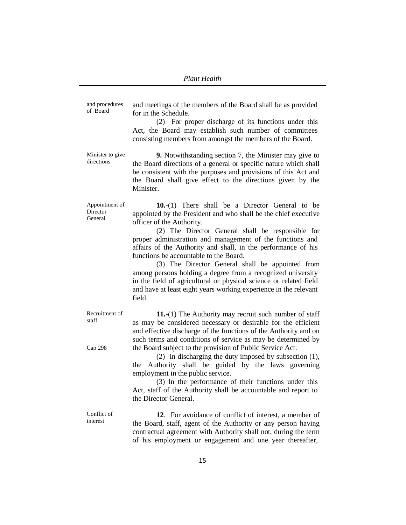and procedures of Board and meetings of the members of the Board shall be as provided for in the Schedule. (2) For proper discharge of its functions under this Act, the Board may establish such number of committees consisting members from amongst the members of the Board. Minister to give directions **9.** Notwithstanding section 7, the Minister may give to the Board directions of a general or specific nature which shall be consistent with the purposes and provisions of this Act and the Board shall give effect to the directions given by the Minister. Appointment of **Director General 10.-**(1) There shall be a Director General to be appointed by the President and who shall be the chief executive officer of the Authority. (2) The Director General shall be responsible for proper administration and management of the functions and affairs of the Authority and shall, in the performance of his functions be accountable to the Board. (3) The Director General shall be appointed from among persons holding a degree from a recognized university in the field of agricultural or physical science or related field and have at least eight years working experience in the relevant field. Recruitment of staff Cap 298 **11.-**(1) The Authority may recruit such number of staff as may be considered necessary or desirable for the efficient and effective discharge of the functions of the Authority and on such terms and conditions of service as may be determined by the Board subject to the provision of Public Service Act. (2) In discharging the duty imposed by subsection (1), the Authority shall be guided by the laws governing employment in the public service. (3) In the performance of their functions under this Act, staff of the Authority shall be accountable and report to the Director General. Conflict of interest **12**. For avoidance of conflict of interest, a member of the Board, staff, agent of the Authority or any person having contractual agreement with Authority shall not, during the term of his employment or engagement and one year thereafter,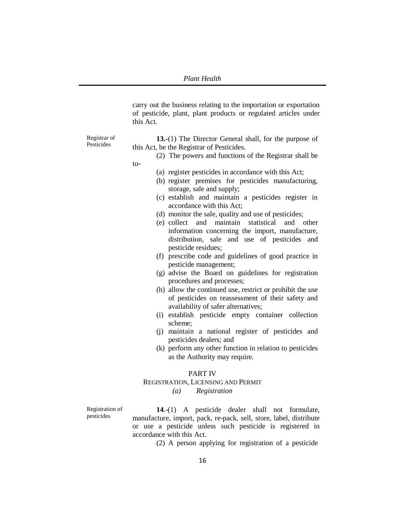carry out the business relating to the importation or exportation of pesticide, plant, plant products or regulated articles under this Act.

**13.-**(1) The Director General shall, for the purpose of this Act, be the Registrar of Pesticides.

- (2) The powers and functions of the Registrar shall be to-
	- (a) register pesticides in accordance with this Act;
	- (b) register premises for pesticides manufacturing, storage, sale and supply;
	- (c) establish and maintain a pesticides register in accordance with this Act;
	- (d) monitor the sale, quality and use of pesticides;
	- (e) collect and maintain statistical and other information concerning the import, manufacture, distribution, sale and use of pesticides and pesticide residues;
	- (f) prescribe code and guidelines of good practice in pesticide management;
	- (g) advise the Board on guidelines for registration procedures and processes;
	- (h) allow the continued use, restrict or prohibit the use of pesticides on reassessment of their safety and availability of safer alternatives;
	- (i) establish pesticide empty container collection scheme;
	- (j) maintain a national register of pesticides and pesticides dealers; and
	- (k) perform any other function in relation to pesticides as the Authority may require.

### PART IV

### REGISTRATION, LICENSING AND PERMIT

*(a) Registration*

Registration of pesticides

**14**.-(1) A pesticide dealer shall not formulate, manufacture, import, pack, re-pack, sell, store, label, distribute or use a pesticide unless such pesticide is registered in accordance with this Act.

(2) A person applying for registration of a pesticide

Registrar of Pesticides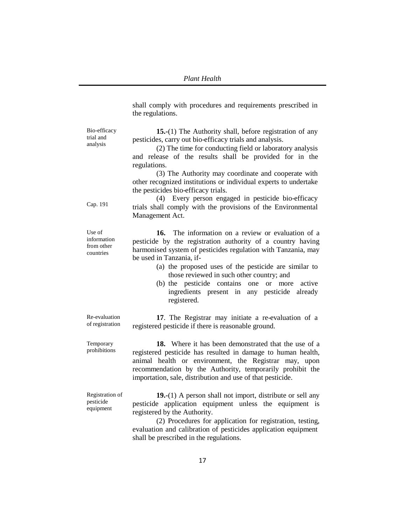shall comply with procedures and requirements prescribed in the regulations. Bio-efficacy trial and analysis Cap. 191 **15.-**(1) The Authority shall, before registration of any pesticides, carry out bio-efficacy trials and analysis. (2) The time for conducting field or laboratory analysis and release of the results shall be provided for in the regulations. (3) The Authority may coordinate and cooperate with other recognized institutions or individual experts to undertake the pesticides bio-efficacy trials. (4) Every person engaged in pesticide bio-efficacy trials shall comply with the provisions of the Environmental Management Act. **16.** The information on a review or evaluation of a pesticide by the registration authority of a country having harmonised system of pesticides regulation with Tanzania, may be used in Tanzania, if- (a) the proposed uses of the pesticide are similar to those reviewed in such other country; and (b) the pesticide contains one or more active ingredients present in any pesticide already registered. Re-evaluation of registration **17**. The Registrar may initiate a re-evaluation of a registered pesticide if there is reasonable ground. Temporary prohibitions **18.** Where it has been demonstrated that the use of a registered pesticide has resulted in damage to human health, animal health or environment, the Registrar may, upon recommendation by the Authority, temporarily prohibit the importation, sale, distribution and use of that pesticide. Registration of pesticide equipment **19.-**(1) A person shall not import, distribute or sell any pesticide application equipment unless the equipment is registered by the Authority. (2) Procedures for application for registration, testing, evaluation and calibration of pesticides application equipment shall be prescribed in the regulations.

Use of information from other countries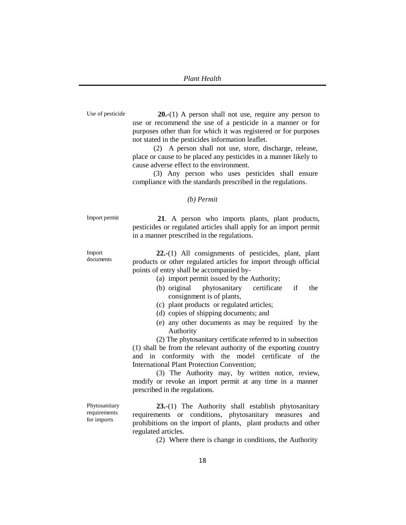Use of pesticide **20.-**(1) A person shall not use, require any person to use or recommend the use of a pesticide in a manner or for purposes other than for which it was registered or for purposes not stated in the pesticides information leaflet.

> (2) A person shall not use, store, discharge, release, place or cause to be placed any pesticides in a manner likely to cause adverse effect to the environment.

> (3) Any person who uses pesticides shall ensure compliance with the standards prescribed in the regulations.

#### *(b) Permit*

Import permit **21**. A person who imports plants, plant products, pesticides or regulated articles shall apply for an import permit in a manner prescribed in the regulations.

> **22.-**(1) All consignments of pesticides, plant, plant products or other regulated articles for import through official points of entry shall be accompanied by-

- (a) import permit issued by the Authority;
- (b) original phytosanitary certificate if the consignment is of plants,
- (c) plant products or regulated articles;
- (d) copies of shipping documents; and
- (e) any other documents as may be required by the Authority

(2) The phytosanitary certificate referred to in subsection (1) shall be from the relevant authority of the exporting country and in conformity with the model certificate of the International Plant Protection Convention;

(3) The Authority may, by written notice, review, modify or revoke an import permit at any time in a manner prescribed in the regulations.

**23.-**(1) The Authority shall establish phytosanitary requirements or conditions, phytosanitary measures and prohibitions on the import of plants, plant products and other regulated articles.

(2) Where there is change in conditions, the Authority

Import

documents

Phytosanitary requirements for imports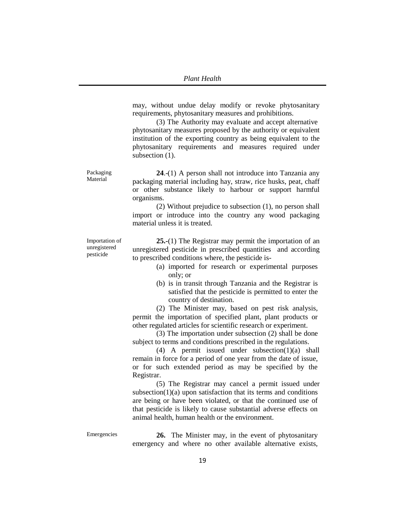may, without undue delay modify or revoke phytosanitary requirements, phytosanitary measures and prohibitions.

(3) The Authority may evaluate and accept alternative phytosanitary measures proposed by the authority or equivalent institution of the exporting country as being equivalent to the phytosanitary requirements and measures required under subsection  $(1)$ .

**24**.-(1) A person shall not introduce into Tanzania any packaging material including hay, straw, rice husks, peat, chaff or other substance likely to harbour or support harmful organisms.

(2) Without prejudice to subsection (1), no person shall import or introduce into the country any wood packaging material unless it is treated.

**25.-**(1) The Registrar may permit the importation of an unregistered pesticide in prescribed quantities and according to prescribed conditions where, the pesticide is-

- (a) imported for research or experimental purposes only; or
- (b) is in transit through Tanzania and the Registrar is satisfied that the pesticide is permitted to enter the country of destination.

(2) The Minister may, based on pest risk analysis, permit the importation of specified plant, plant products or other regulated articles for scientific research or experiment.

(3) The importation under subsection (2) shall be done subject to terms and conditions prescribed in the regulations.

(4) A permit issued under subsection(1)(a) shall remain in force for a period of one year from the date of issue, or for such extended period as may be specified by the Registrar.

(5) The Registrar may cancel a permit issued under subsection $(1)(a)$  upon satisfaction that its terms and conditions are being or have been violated, or that the continued use of that pesticide is likely to cause substantial adverse effects on animal health, human health or the environment.

Emergencies 26. The Minister may, in the event of phytosanitary emergency and where no other available alternative exists,

Importation of unregistered

pesticide

Packaging Material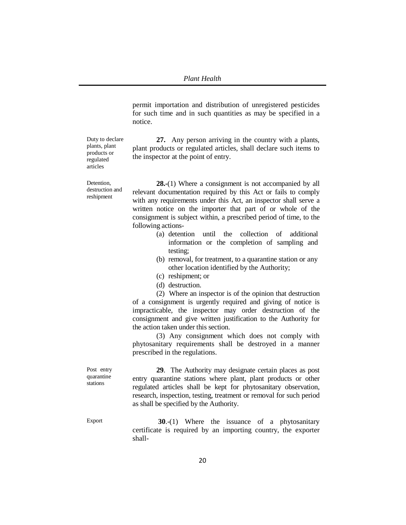permit importation and distribution of unregistered pesticides for such time and in such quantities as may be specified in a notice.

Duty to declare plants, plant products or regulated articles

**27.** Any person arriving in the country with a plants, plant products or regulated articles, shall declare such items to the inspector at the point of entry.

Detention, destruction and reshipment

**28.-**(1) Where a consignment is not accompanied by all relevant documentation required by this Act or fails to comply with any requirements under this Act, an inspector shall serve a written notice on the importer that part of or whole of the consignment is subject within, a prescribed period of time, to the following actions-

- (a) detention until the collection of additional information or the completion of sampling and testing;
- (b) removal, for treatment, to a quarantine station or any other location identified by the Authority;
- (c) reshipment; or
- (d) destruction.

(2) Where an inspector is of the opinion that destruction of a consignment is urgently required and giving of notice is impracticable, the inspector may order destruction of the consignment and give written justification to the Authority for the action taken under this section.

(3) Any consignment which does not comply with phytosanitary requirements shall be destroyed in a manner prescribed in the regulations.

**29**. The Authority may designate certain places as post entry quarantine stations where plant, plant products or other regulated articles shall be kept for phytosanitary observation, research, inspection, testing, treatment or removal for such period as shall be specified by the Authority.

Export **30.-(1)** Where the issuance of a phytosanitary certificate is required by an importing country, the exporter shall-

Post entry quarantine stations

20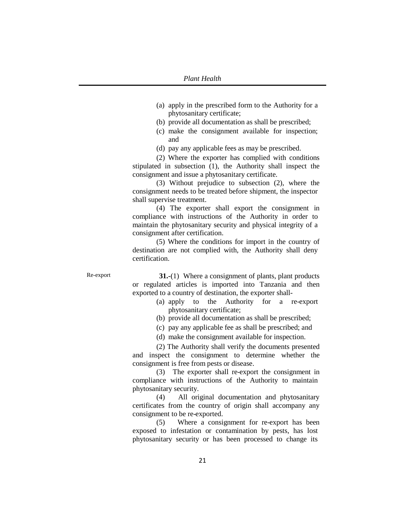- (a) apply in the prescribed form to the Authority for a phytosanitary certificate;
- (b) provide all documentation as shall be prescribed;
- (c) make the consignment available for inspection; and
- (d) pay any applicable fees as may be prescribed.

(2) Where the exporter has complied with conditions stipulated in subsection (1), the Authority shall inspect the consignment and issue a phytosanitary certificate.

(3) Without prejudice to subsection (2), where the consignment needs to be treated before shipment, the inspector shall supervise treatment.

(4) The exporter shall export the consignment in compliance with instructions of the Authority in order to maintain the phytosanitary security and physical integrity of a consignment after certification.

(5) Where the conditions for import in the country of destination are not complied with, the Authority shall deny certification.

Re-export **31.-**(1) Where a consignment of plants, plant products or regulated articles is imported into Tanzania and then exported to a country of destination, the exporter shall-

- (a) apply to the Authority for a re-export phytosanitary certificate;
- (b) provide all documentation as shall be prescribed;
- (c) pay any applicable fee as shall be prescribed; and
- (d) make the consignment available for inspection.

(2) The Authority shall verify the documents presented and inspect the consignment to determine whether the consignment is free from pests or disease.

(3) The exporter shall re-export the consignment in compliance with instructions of the Authority to maintain phytosanitary security.

(4) All original documentation and phytosanitary certificates from the country of origin shall accompany any consignment to be re-exported.

(5) Where a consignment for re-export has been exposed to infestation or contamination by pests, has lost phytosanitary security or has been processed to change its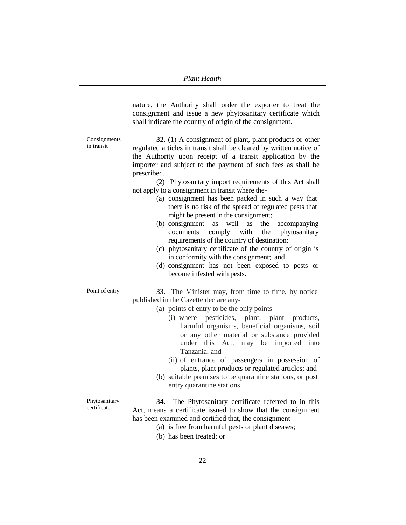nature, the Authority shall order the exporter to treat the consignment and issue a new phytosanitary certificate which shall indicate the country of origin of the consignment.

Consignments in transit

**32.-**(1) A consignment of plant, plant products or other regulated articles in transit shall be cleared by written notice of the Authority upon receipt of a transit application by the importer and subject to the payment of such fees as shall be prescribed.

(2) Phytosanitary import requirements of this Act shall not apply to a consignment in transit where the-

- (a) consignment has been packed in such a way that there is no risk of the spread of regulated pests that might be present in the consignment;
- (b) consignment as well as the accompanying documents comply with the phytosanitary requirements of the country of destination;
- (c) phytosanitary certificate of the country of origin is in conformity with the consignment; and
- (d) consignment has not been exposed to pests or become infested with pests.

Point of entry **33.** The Minister may, from time to time, by notice published in the Gazette declare any-

- (a) points of entry to be the only points-
	- (i) where pesticides, plant, plant products, harmful organisms, beneficial organisms, soil or any other material or substance provided under this Act, may be imported into Tanzania; and
	- (ii) of entrance of passengers in possession of plants, plant products or regulated articles; and
- (b) suitable premises to be quarantine stations, or post entry quarantine stations.

Phytosanitary certificate

**34**. The Phytosanitary certificate referred to in this Act, means a certificate issued to show that the consignment has been examined and certified that, the consignment-

- (a) is free from harmful pests or plant diseases;
- (b) has been treated; or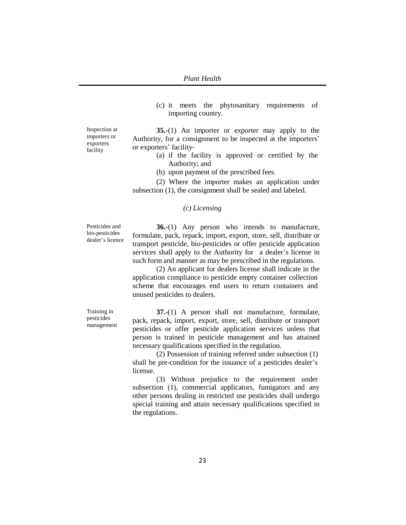(c) it meets the phytosanitary requirements of importing country.

**35.-**(1) An importer or exporter may apply to the Authority, for a consignment to be inspected at the importers' or exporters' facility-

- (a) if the facility is approved or certified by the Authority; and
- (b) upon payment of the prescribed fees.

(2) Where the importer makes an application under subsection (1), the consignment shall be sealed and labeled.

### *(c) Licensing*

Pesticides and bio-pesticides dealer's licence

**36.-**(1) Any person who intends to manufacture, formulate, pack, repack, import, export, store, sell, distribute or transport pesticide, bio-pesticides or offer pesticide application services shall apply to the Authority for a dealer's license in such form and manner as may be prescribed in the regulations.

(2) An applicant for dealers license shall indicate in the application compliance to pesticide empty container collection scheme that encourages end users to return containers and unused pesticides to dealers.

Training in pesticides management

**37.**-(1) A person shall not manufacture, formulate, pack, repack, import, export, store, sell, distribute or transport pesticides or offer pesticide application services unless that person is trained in pesticide management and has attained necessary qualifications specified in the regulation.

(2) Possession of training referred under subsection (1) shall be pre-condition for the issuance of a pesticides dealer's license.

(3) Without prejudice to the requirement under subsection (1), commercial applicators, fumigators and any other persons dealing in restricted use pesticides shall undergo special training and attain necessary qualifications specified in the regulations.

Inspection at importers or exporters facility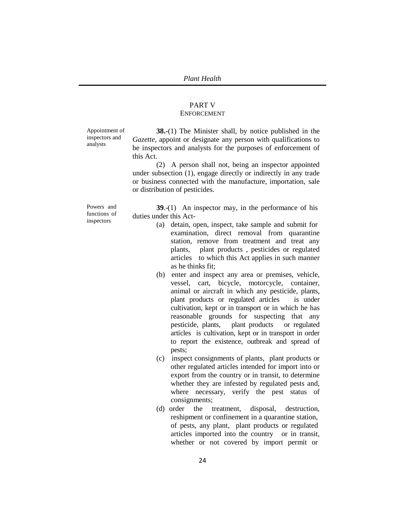### PART V ENFORCEMENT

Appointment of inspectors and analysts

**38.-**(1) The Minister shall, by notice published in the *Gazette*, appoint or designate any person with qualifications to be inspectors and analysts for the purposes of enforcement of this Act.

(2) A person shall not, being an inspector appointed under subsection (1), engage directly or indirectly in any trade or business connected with the manufacture, importation, sale or distribution of pesticides.

Powers and functions of inspectors

**39**.-(1) An inspector may, in the performance of his duties under this Act-

- (a) detain, open, inspect, take sample and submit for examination, direct removal from quarantine station, remove from treatment and treat any plants, plant products , pesticides or regulated articles to which this Act applies in such manner as he thinks fit;
- (b) enter and inspect any area or premises, vehicle, vessel, cart, bicycle, motorcycle, container, animal or aircraft in which any pesticide, plants, plant products or regulated articles is under cultivation, kept or in transport or in which he has reasonable grounds for suspecting that any pesticide, plants, plant products or regulated articles is cultivation, kept or in transport in order to report the existence, outbreak and spread of pests;
- (c) inspect consignments of plants, plant products or other regulated articles intended for import into or export from the country or in transit, to determine whether they are infested by regulated pests and, where necessary, verify the pest status of consignments;
- (d) order the treatment, disposal, destruction, reshipment or confinement in a quarantine station, of pests, any plant, plant products or regulated articles imported into the country or in transit, whether or not covered by import permit or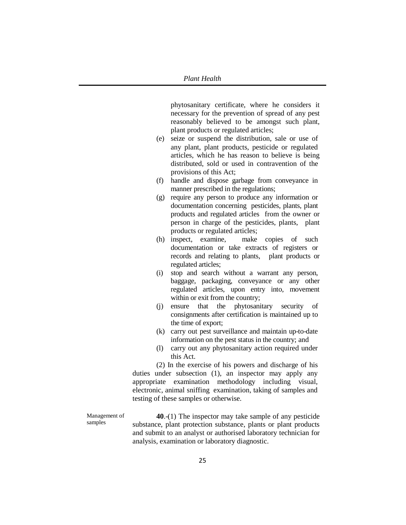phytosanitary certificate, where he considers it necessary for the prevention of spread of any pest reasonably believed to be amongst such plant, plant products or regulated articles;

- (e) seize or suspend the distribution, sale or use of any plant, plant products, pesticide or regulated articles, which he has reason to believe is being distributed, sold or used in contravention of the provisions of this Act;
- (f) handle and dispose garbage from conveyance in manner prescribed in the regulations;
- (g) require any person to produce any information or documentation concerning pesticides, plants, plant products and regulated articles from the owner or person in charge of the pesticides, plants, plant products or regulated articles;
- (h) inspect, examine, make copies of such documentation or take extracts of registers or records and relating to plants, plant products or regulated articles;
- (i) stop and search without a warrant any person, baggage, packaging, conveyance or any other regulated articles, upon entry into, movement within or exit from the country;
- (j) ensure that the phytosanitary security of consignments after certification is maintained up to the time of export;
- (k) carry out pest surveillance and maintain up-to-date information on the pest status in the country; and
- (l) carry out any phytosanitary action required under this Act.

(2) In the exercise of his powers and discharge of his duties under subsection (1), an inspector may apply any appropriate examination methodology including visual, electronic, animal sniffing examination, taking of samples and testing of these samples or otherwise.

Management of samples

**40**.-(1) The inspector may take sample of any pesticide substance, plant protection substance, plants or plant products and submit to an analyst or authorised laboratory technician for analysis, examination or laboratory diagnostic.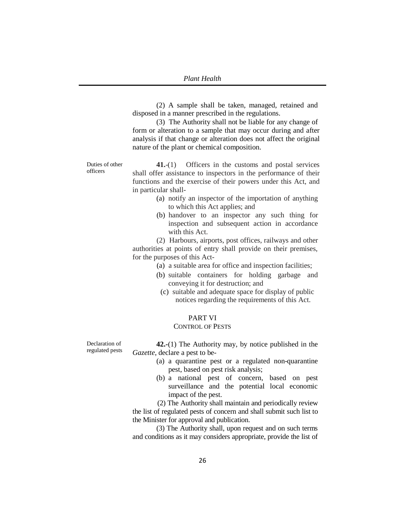(2) A sample shall be taken, managed, retained and disposed in a manner prescribed in the regulations.

(3) The Authority shall not be liable for any change of form or alteration to a sample that may occur during and after analysis if that change or alteration does not affect the original nature of the plant or chemical composition.

Duties of other officers

**41.**-(1) Officers in the customs and postal services shall offer assistance to inspectors in the performance of their functions and the exercise of their powers under this Act, and in particular shall-

- (a) notify an inspector of the importation of anything to which this Act applies; and
- (b) handover to an inspector any such thing for inspection and subsequent action in accordance with this Act.

(2) Harbours, airports, post offices, railways and other authorities at points of entry shall provide on their premises, for the purposes of this Act-

- (a) a suitable area for office and inspection facilities;
- (b) suitable containers for holding garbage and conveying it for destruction; and
- (c) suitable and adequate space for display of public notices regarding the requirements of this Act.

# PART VI

### CONTROL OF PESTS

Declaration of regulated pests

**42.-**(1) The Authority may, by notice published in the *Gazette*, declare a pest to be-

- (a) a quarantine pest or a regulated non-quarantine pest, based on pest risk analysis;
- (b) a national pest of concern, based on pest surveillance and the potential local economic impact of the pest.

(2) The Authority shall maintain and periodically review the list of regulated pests of concern and shall submit such list to the Minister for approval and publication.

(3) The Authority shall, upon request and on such terms and conditions as it may considers appropriate, provide the list of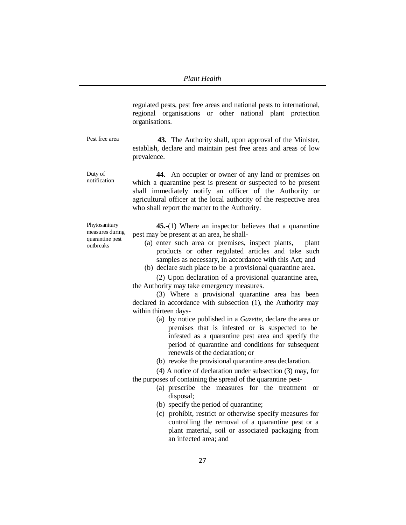regulated pests, pest free areas and national pests to international, regional organisations or other national plant protection organisations.

Pest free area **43.** The Authority shall, upon approval of the Minister, establish, declare and maintain pest free areas and areas of low prevalence.

notification **44.** An occupier or owner of any land or premises on which a quarantine pest is present or suspected to be present shall immediately notify an officer of the Authority or agricultural officer at the local authority of the respective area who shall report the matter to the Authority.

Phytosanitary measures during quarantine pest outbreaks

Duty of

**45.-**(1) Where an inspector believes that a quarantine pest may be present at an area, he shall-

- (a) enter such area or premises, inspect plants, plant products or other regulated articles and take such samples as necessary, in accordance with this Act; and
- (b) declare such place to be a provisional quarantine area.

(2) Upon declaration of a provisional quarantine area, the Authority may take emergency measures.

(3) Where a provisional quarantine area has been declared in accordance with subsection (1), the Authority may within thirteen days-

- (a) by notice published in a *Gazette*, declare the area or premises that is infested or is suspected to be infested as a quarantine pest area and specify the period of quarantine and conditions for subsequent renewals of the declaration; or
- (b) revoke the provisional quarantine area declaration.

(4) A notice of declaration under subsection (3) may, for the purposes of containing the spread of the quarantine pest-

- (a) prescribe the measures for the treatment or disposal;
- (b) specify the period of quarantine;
- (c) prohibit, restrict or otherwise specify measures for controlling the removal of a quarantine pest or a plant material, soil or associated packaging from an infected area; and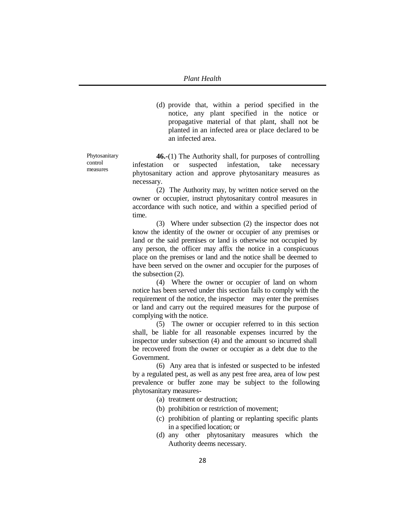(d) provide that, within a period specified in the notice, any plant specified in the notice or propagative material of that plant, shall not be planted in an infected area or place declared to be an infected area.

Phytosanitary control measures

**46.-**(1) The Authority shall, for purposes of controlling infestation or suspected infestation, take necessary phytosanitary action and approve phytosanitary measures as necessary.

(2) The Authority may, by written notice served on the owner or occupier, instruct phytosanitary control measures in accordance with such notice, and within a specified period of time.

(3) Where under subsection (2) the inspector does not know the identity of the owner or occupier of any premises or land or the said premises or land is otherwise not occupied by any person, the officer may affix the notice in a conspicuous place on the premises or land and the notice shall be deemed to have been served on the owner and occupier for the purposes of the subsection (2).

(4) Where the owner or occupier of land on whom notice has been served under this section fails to comply with the requirement of the notice, the inspector may enter the premises or land and carry out the required measures for the purpose of complying with the notice.

(5) The owner or occupier referred to in this section shall, be liable for all reasonable expenses incurred by the inspector under subsection (4) and the amount so incurred shall be recovered from the owner or occupier as a debt due to the Government.

(6) Any area that is infested or suspected to be infested by a regulated pest, as well as any pest free area, area of low pest prevalence or buffer zone may be subject to the following phytosanitary measures-

- (a) treatment or destruction;
- (b) prohibition or restriction of movement;
- (c) prohibition of planting or replanting specific plants in a specified location; or
- (d) any other phytosanitary measures which the Authority deems necessary.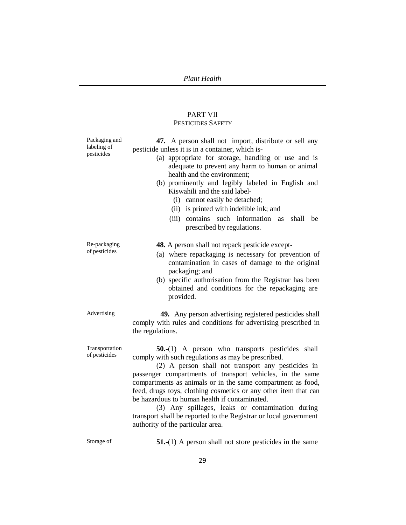# PART VII PESTICIDES SAFETY

| Packaging and<br>labeling of<br>pesticides | 47. A person shall not import, distribute or sell any<br>pesticide unless it is in a container, which is-<br>(a) appropriate for storage, handling or use and is<br>adequate to prevent any harm to human or animal<br>health and the environment;<br>(b) prominently and legibly labeled in English and<br>Kiswahili and the said label-<br>(i) cannot easily be detached;<br>(ii) is printed with indelible ink; and<br>contains such information as<br>(iii)<br>shall<br>be<br>prescribed by regulations.                                                                      |
|--------------------------------------------|-----------------------------------------------------------------------------------------------------------------------------------------------------------------------------------------------------------------------------------------------------------------------------------------------------------------------------------------------------------------------------------------------------------------------------------------------------------------------------------------------------------------------------------------------------------------------------------|
| Re-packaging<br>of pesticides              | 48. A person shall not repack pesticide except-<br>(a) where repackaging is necessary for prevention of<br>contamination in cases of damage to the original<br>packaging; and<br>(b) specific authorisation from the Registrar has been<br>obtained and conditions for the repackaging are<br>provided.                                                                                                                                                                                                                                                                           |
| Advertising                                | 49. Any person advertising registered pesticides shall<br>comply with rules and conditions for advertising prescribed in<br>the regulations.                                                                                                                                                                                                                                                                                                                                                                                                                                      |
| Transportation<br>of pesticides            | <b>50.</b> -(1) A person who transports pesticides shall<br>comply with such regulations as may be prescribed.<br>(2) A person shall not transport any pesticides in<br>passenger compartments of transport vehicles, in the same<br>compartments as animals or in the same compartment as food,<br>feed, drugs toys, clothing cosmetics or any other item that can<br>be hazardous to human health if contaminated.<br>(3) Any spillages, leaks or contamination during<br>transport shall be reported to the Registrar or local government<br>authority of the particular area. |
| Storage of                                 | $51-(1)$ A person shall not store pesticides in the same                                                                                                                                                                                                                                                                                                                                                                                                                                                                                                                          |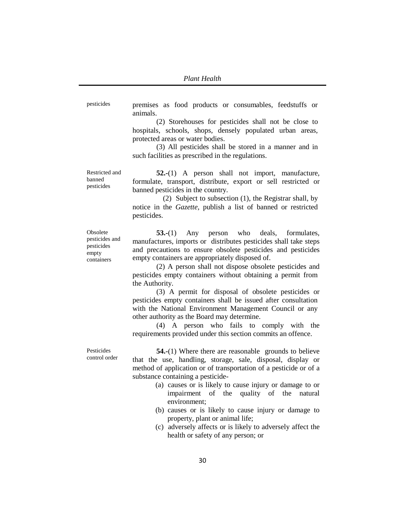pesticides premises as food products or consumables, feedstuffs or animals.

> (2) Storehouses for pesticides shall not be close to hospitals, schools, shops, densely populated urban areas, protected areas or water bodies.

> (3) All pesticides shall be stored in a manner and in such facilities as prescribed in the regulations.

Restricted and banned pesticides **52.-**(1) A person shall not import, manufacture, formulate, transport, distribute, export or sell restricted or banned pesticides in the country.

(2) Subject to subsection (1), the Registrar shall, by notice in the *Gazette,* publish a list of banned or restricted pesticides.

Obsolete pesticides and pesticides empty containers

**53.-**(1) Any person who deals, formulates, manufactures, imports or distributes pesticides shall take steps and precautions to ensure obsolete pesticides and pesticides empty containers are appropriately disposed of.

(2) A person shall not dispose obsolete pesticides and pesticides empty containers without obtaining a permit from the Authority.

(3) A permit for disposal of obsolete pesticides or pesticides empty containers shall be issued after consultation with the National Environment Management Council or any other authority as the Board may determine.

(4) A person who fails to comply with the requirements provided under this section commits an offence.

Pesticides control order

**54.-**(1) Where there are reasonable grounds to believe that the use, handling, storage, sale, disposal, display or method of application or of transportation of a pesticide or of a substance containing a pesticide-

- (a) causes or is likely to cause injury or damage to or impairment of the quality of the natural environment;
- (b) causes or is likely to cause injury or damage to property, plant or animal life;
- (c) adversely affects or is likely to adversely affect the health or safety of any person; or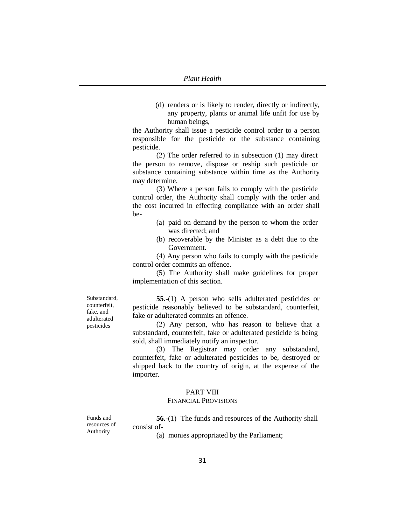(d) renders or is likely to render, directly or indirectly, any property, plants or animal life unfit for use by human beings,

the Authority shall issue a pesticide control order to a person responsible for the pesticide or the substance containing pesticide.

(2) The order referred to in subsection (1) may direct the person to remove, dispose or reship such pesticide or substance containing substance within time as the Authority may determine.

(3) Where a person fails to comply with the pesticide control order, the Authority shall comply with the order and the cost incurred in effecting compliance with an order shall be-

- (a) paid on demand by the person to whom the order was directed; and
- (b) recoverable by the Minister as a debt due to the Government.

(4) Any person who fails to comply with the pesticide control order commits an offence.

(5) The Authority shall make guidelines for proper implementation of this section.

Substandard, counterfeit, fake, and adulterated pesticides

**55.-**(1) A person who sells adulterated pesticides or pesticide reasonably believed to be substandard, counterfeit, fake or adulterated commits an offence.

(2) Any person, who has reason to believe that a substandard, counterfeit, fake or adulterated pesticide is being sold, shall immediately notify an inspector.

(3) The Registrar may order any substandard, counterfeit, fake or adulterated pesticides to be, destroyed or shipped back to the country of origin, at the expense of the importer.

### PART VIII

#### FINANCIAL PROVISIONS

Funds and resources of Authority

**56.-**(1) The funds and resources of the Authority shall consist of-

(a) monies appropriated by the Parliament;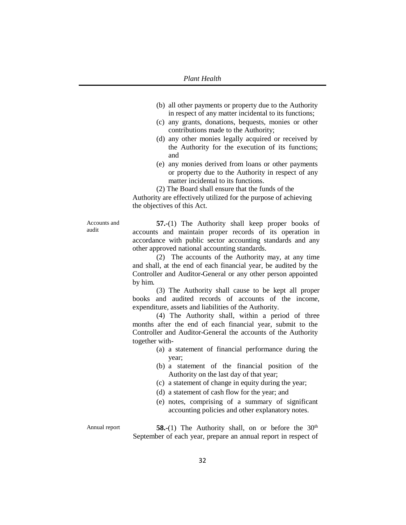- (b) all other payments or property due to the Authority in respect of any matter incidental to its functions;
- (c) any grants, donations, bequests, monies or other contributions made to the Authority;
- (d) any other monies legally acquired or received by the Authority for the execution of its functions; and
- (e) any monies derived from loans or other payments or property due to the Authority in respect of any matter incidental to its functions.

(2) The Board shall ensure that the funds of the Authority are effectively utilized for the purpose of achieving the objectives of this Act.

Accounts and audit

**57.-**(1) The Authority shall keep proper books of accounts and maintain proper records of its operation in accordance with public sector accounting standards and any other approved national accounting standards.

(2) The accounts of the Authority may, at any time and shall, at the end of each financial year, be audited by the Controller and Auditor-General or any other person appointed by him.

(3) The Authority shall cause to be kept all proper books and audited records of accounts of the income, expenditure, assets and liabilities of the Authority.

(4) The Authority shall, within a period of three months after the end of each financial year, submit to the Controller and Auditor-General the accounts of the Authority together with-

- (a) a statement of financial performance during the year;
- (b) a statement of the financial position of the Authority on the last day of that year;
- (c) a statement of change in equity during the year;
- (d) a statement of cash flow for the year; and
- (e) notes, comprising of a summary of significant accounting policies and other explanatory notes.

Annual report **58.-**(1) The Authority shall, on or before the 30<sup>th</sup> September of each year, prepare an annual report in respect of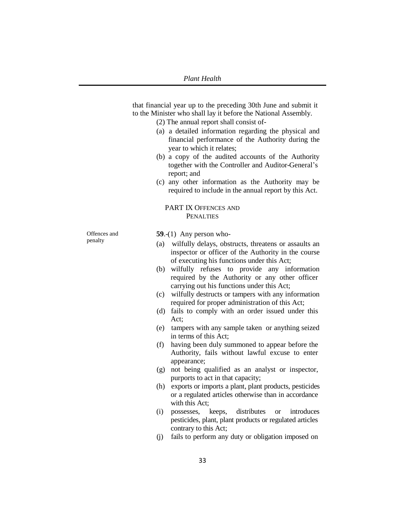that financial year up to the preceding 30th June and submit it to the Minister who shall lay it before the National Assembly.

- (2) The annual report shall consist of-
- (a) a detailed information regarding the physical and financial performance of the Authority during the year to which it relates;
- (b) a copy of the audited accounts of the Authority together with the Controller and Auditor-General's report; and
- (c) any other information as the Authority may be required to include in the annual report by this Act.

### PART IX OFFENCES AND PENALTIES

Offences and penalty

**59**.-(1) Any person who-

- (a) wilfully delays, obstructs, threatens or assaults an inspector or officer of the Authority in the course of executing his functions under this Act;
- (b) wilfully refuses to provide any information required by the Authority or any other officer carrying out his functions under this Act;
- (c) wilfully destructs or tampers with any information required for proper administration of this Act;
- (d) fails to comply with an order issued under this Act;
- (e) tampers with any sample taken or anything seized in terms of this Act;
- (f) having been duly summoned to appear before the Authority, fails without lawful excuse to enter appearance;
- (g) not being qualified as an analyst or inspector, purports to act in that capacity;
- (h) exports or imports a plant, plant products, pesticides or a regulated articles otherwise than in accordance with this Act;
- (i) possesses, keeps, distributes or introduces pesticides, plant, plant products or regulated articles contrary to this Act;
- (j) fails to perform any duty or obligation imposed on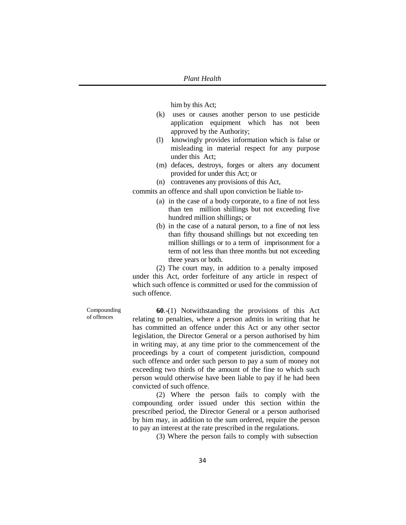him by this Act;

- (k) uses or causes another person to use pesticide application equipment which has not been approved by the Authority;
- (l) knowingly provides information which is false or misleading in material respect for any purpose under this Act;
- (m) defaces, destroys, forges or alters any document provided for under this Act; or
- (n) contravenes any provisions of this Act,

commits an offence and shall upon conviction be liable to-

- (a) in the case of a body corporate, to a fine of not less than ten million shillings but not exceeding five hundred million shillings; or
- (b) in the case of a natural person, to a fine of not less than fifty thousand shillings but not exceeding ten million shillings or to a term of imprisonment for a term of not less than three months but not exceeding three years or both.

(2) The court may, in addition to a penalty imposed under this Act, order forfeiture of any article in respect of which such offence is committed or used for the commission of such offence.

Compounding of offences

**60**.-(1) Notwithstanding the provisions of this Act relating to penalties, where a person admits in writing that he has committed an offence under this Act or any other sector legislation, the Director General or a person authorised by him in writing may, at any time prior to the commencement of the proceedings by a court of competent jurisdiction, compound such offence and order such person to pay a sum of money not exceeding two thirds of the amount of the fine to which such person would otherwise have been liable to pay if he had been convicted of such offence.

(2) Where the person fails to comply with the compounding order issued under this section within the prescribed period, the Director General or a person authorised by him may, in addition to the sum ordered, require the person to pay an interest at the rate prescribed in the regulations.

(3) Where the person fails to comply with subsection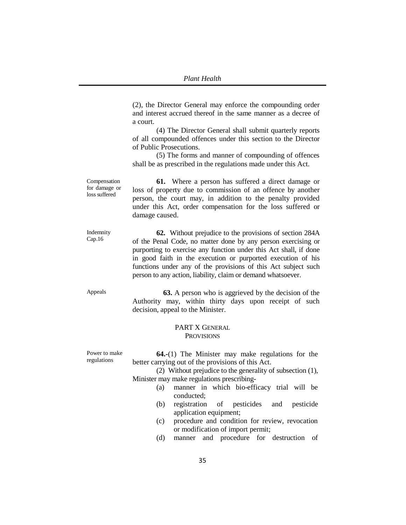(2), the Director General may enforce the compounding order and interest accrued thereof in the same manner as a decree of a court.

(4) The Director General shall submit quarterly reports of all compounded offences under this section to the Director of Public Prosecutions.

(5) The forms and manner of compounding of offences shall be as prescribed in the regulations made under this Act.

Compensation for damage or loss suffered **61.** Where a person has suffered a direct damage or loss of property due to commission of an offence by another person, the court may, in addition to the penalty provided under this Act, order compensation for the loss suffered or damage caused.

> **62.** Without prejudice to the provisions of section 284A of the Penal Code, no matter done by any person exercising or purporting to exercise any function under this Act shall, if done in good faith in the execution or purported execution of his functions under any of the provisions of this Act subject such person to any action, liability, claim or demand whatsoever.

Appeals **63.** A person who is aggrieved by the decision of the Authority may, within thirty days upon receipt of such decision, appeal to the Minister.

### PART X GENERAL **PROVISIONS**

Power to make regulations

Indemnity Cap.16

> **64.-**(1) The Minister may make regulations for the better carrying out of the provisions of this Act.

(2) Without prejudice to the generality of subsection (1), Minister may make regulations prescribing-

- (a) manner in which bio-efficacy trial will be conducted;
	- (b) registration of pesticides and pesticide application equipment;
- (c) procedure and condition for review, revocation or modification of import permit;
- (d) manner and procedure for destruction of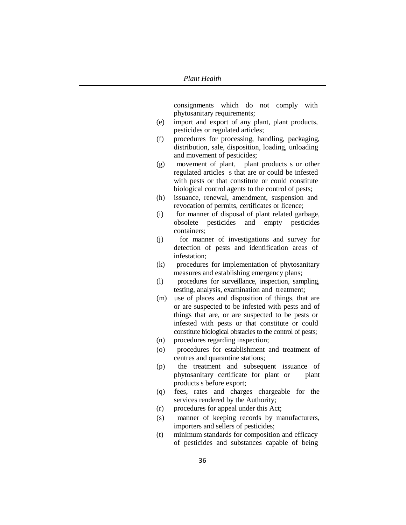consignments which do not comply with phytosanitary requirements;

- (e) import and export of any plant, plant products, pesticides or regulated articles;
- (f) procedures for processing, handling, packaging, distribution, sale, disposition, loading, unloading and movement of pesticides;
- (g) movement of plant, plant products s or other regulated articles s that are or could be infested with pests or that constitute or could constitute biological control agents to the control of pests;
- (h) issuance, renewal, amendment, suspension and revocation of permits, certificates or licence;
- (i) for manner of disposal of plant related garbage, obsolete pesticides and empty pesticides containers;
- (j) for manner of investigations and survey for detection of pests and identification areas of infestation;
- (k) procedures for implementation of phytosanitary measures and establishing emergency plans;
- (l) procedures for surveillance, inspection, sampling, testing, analysis, examination and treatment;
- (m) use of places and disposition of things, that are or are suspected to be infested with pests and of things that are, or are suspected to be pests or infested with pests or that constitute or could constitute biological obstacles to the control of pests;
- (n) procedures regarding inspection;
- (o) procedures for establishment and treatment of centres and quarantine stations;
- (p) the treatment and subsequent issuance of phytosanitary certificate for plant or plant products s before export;
- (q) fees, rates and charges chargeable for the services rendered by the Authority;
- (r) procedures for appeal under this Act;
- (s) manner of keeping records by manufacturers, importers and sellers of pesticides;
- (t) minimum standards for composition and efficacy of pesticides and substances capable of being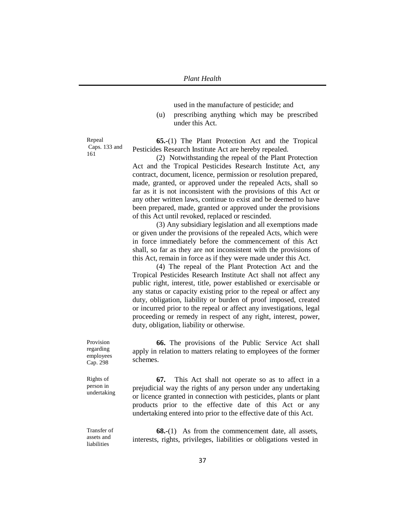used in the manufacture of pesticide; and

(u) prescribing anything which may be prescribed under this Act.

Repeal Caps. 133 and 161

**65.-**(1) The Plant Protection Act and the Tropical Pesticides Research Institute Act are hereby repealed.

(2) Notwithstanding the repeal of the Plant Protection Act and the Tropical Pesticides Research Institute Act, any contract, document, licence, permission or resolution prepared, made, granted, or approved under the repealed Acts, shall so far as it is not inconsistent with the provisions of this Act or any other written laws, continue to exist and be deemed to have been prepared, made, granted or approved under the provisions of this Act until revoked, replaced or rescinded.

(3) Any subsidiary legislation and all exemptions made or given under the provisions of the repealed Acts, which were in force immediately before the commencement of this Act shall, so far as they are not inconsistent with the provisions of this Act, remain in force as if they were made under this Act.

(4) The repeal of the Plant Protection Act and the Tropical Pesticides Research Institute Act shall not affect any public right, interest, title, power established or exercisable or any status or capacity existing prior to the repeal or affect any duty, obligation, liability or burden of proof imposed, created or incurred prior to the repeal or affect any investigations, legal proceeding or remedy in respect of any right, interest, power, duty, obligation, liability or otherwise.

**66.** The provisions of the Public Service Act shall apply in relation to matters relating to employees of the former schemes.

Rights of person in undertaking

Provision regarding employees Cap. 298

> **67.** This Act shall not operate so as to affect in a prejudicial way the rights of any person under any undertaking or licence granted in connection with pesticides, plants or plant products prior to the effective date of this Act or any undertaking entered into prior to the effective date of this Act.

Transfer of assets and liabilities

**68.-**(1) As from the commencement date, all assets, interests, rights, privileges, liabilities or obligations vested in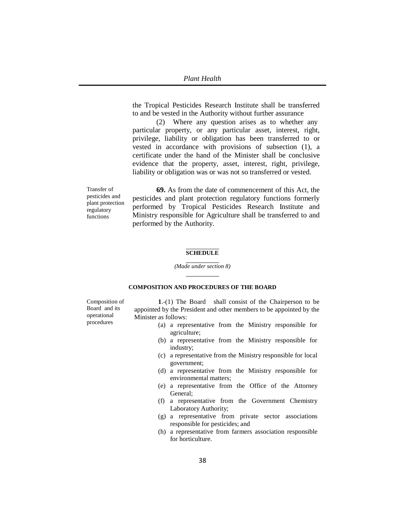the Tropical Pesticides Research Institute shall be transferred to and be vested in the Authority without further assurance

(2) Where any question arises as to whether any particular property, or any particular asset, interest, right, privilege, liability or obligation has been transferred to or vested in accordance with provisions of subsection (1), a certificate under the hand of the Minister shall be conclusive evidence that the property, asset, interest, right, privilege, liability or obligation was or was not so transferred or vested.

Transfer of pesticides and plant protection regulatory functions

**69.** As from the date of commencement of this Act, the pesticides and plant protection regulatory functions formerly performed by Tropical Pesticides Research Institute and Ministry responsible for Agriculture shall be transferred to and performed by the Authority.

### **SCHEDULE**

*(Made under section 8)*

#### **COMPOSITION AND PROCEDURES OF THE BOARD**

Composition of Board and its operational procedures

**1**.-(1) The Board shall consist of the Chairperson to be appointed by the President and other members to be appointed by the Minister as follows:

- (a) a representative from the Ministry responsible for agriculture;
- (b) a representative from the Ministry responsible for industry;
- (c) a representative from the Ministry responsible for local government;
- (d) a representative from the Ministry responsible for environmental matters;
- (e) a representative from the Office of the Attorney General;
- (f) a representative from the Government Chemistry Laboratory Authority;
- (g) a representative from private sector associations responsible for pesticides; and
- (h) a representative from farmers association responsible for horticulture.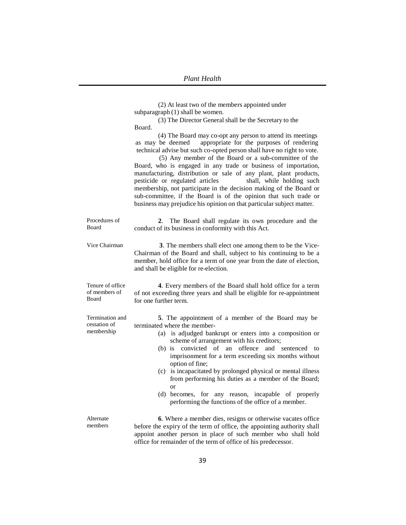|                                               | (2) At least two of the members appointed under<br>subparagraph (1) shall be women.<br>(3) The Director General shall be the Secretary to the<br>Board.<br>(4) The Board may co-opt any person to attend its meetings<br>as may be deemed appropriate for the purposes of rendering<br>technical advise but such co-opted person shall have no right to vote.<br>(5) Any member of the Board or a sub-committee of the<br>Board, who is engaged in any trade or business of importation,<br>manufacturing, distribution or sale of any plant, plant products,<br>pesticide or regulated articles<br>shall, while holding such<br>membership, not participate in the decision making of the Board or<br>sub-committee, if the Board is of the opinion that such trade or<br>business may prejudice his opinion on that particular subject matter. |
|-----------------------------------------------|--------------------------------------------------------------------------------------------------------------------------------------------------------------------------------------------------------------------------------------------------------------------------------------------------------------------------------------------------------------------------------------------------------------------------------------------------------------------------------------------------------------------------------------------------------------------------------------------------------------------------------------------------------------------------------------------------------------------------------------------------------------------------------------------------------------------------------------------------|
| Procedures of<br>Board                        | 2. The Board shall regulate its own procedure and the<br>conduct of its business in conformity with this Act.                                                                                                                                                                                                                                                                                                                                                                                                                                                                                                                                                                                                                                                                                                                                    |
| Vice Chairman                                 | 3. The members shall elect one among them to be the Vice-<br>Chairman of the Board and shall, subject to his continuing to be a<br>member, hold office for a term of one year from the date of election,<br>and shall be eligible for re-election.                                                                                                                                                                                                                                                                                                                                                                                                                                                                                                                                                                                               |
| Tenure of office<br>of members of<br>Board    | 4. Every members of the Board shall hold office for a term<br>of not exceeding three years and shall be eligible for re-appointment<br>for one further term.                                                                                                                                                                                                                                                                                                                                                                                                                                                                                                                                                                                                                                                                                     |
| Termination and<br>cessation of<br>membership | 5. The appointment of a member of the Board may be<br>terminated where the member-<br>(a) is adjudged bankrupt or enters into a composition or<br>scheme of arrangement with his creditors;<br>convicted of an offence and sentenced<br>$(b)$ is<br>to<br>imprisonment for a term exceeding six months without<br>option of fine;<br>(c) is incapacitated by prolonged physical or mental illness<br>from performing his duties as a member of the Board;<br>or<br>(d) becomes, for any reason, incapable of properly<br>performing the functions of the office of a member.                                                                                                                                                                                                                                                                     |
| Alternate<br>members                          | 6. Where a member dies, resigns or otherwise vacates office<br>before the expiry of the term of office, the appointing authority shall<br>appoint another person in place of such member who shall hold<br>office for remainder of the term of office of his predecessor.                                                                                                                                                                                                                                                                                                                                                                                                                                                                                                                                                                        |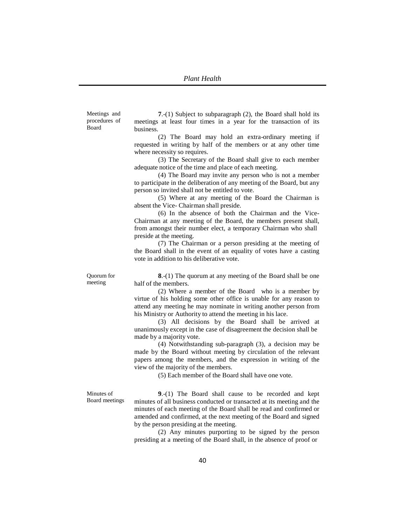Meetings and procedures of Board

**7**.-(1) Subject to subparagraph (2), the Board shall hold its meetings at least four times in a year for the transaction of its business.

(2) The Board may hold an extra-ordinary meeting if requested in writing by half of the members or at any other time where necessity so requires.

(3) The Secretary of the Board shall give to each member adequate notice of the time and place of each meeting.

(4) The Board may invite any person who is not a member to participate in the deliberation of any meeting of the Board, but any person so invited shall not be entitled to vote.

(5) Where at any meeting of the Board the Chairman is absent the Vice- Chairman shall preside.

(6) In the absence of both the Chairman and the Vice-Chairman at any meeting of the Board, the members present shall, from amongst their number elect, a temporary Chairman who shall preside at the meeting.

(7) The Chairman or a person presiding at the meeting of the Board shall in the event of an equality of votes have a casting vote in addition to his deliberative vote.

Quorum for meeting

**8**.-(1) The quorum at any meeting of the Board shall be one half of the members.

(2) Where a member of the Board who is a member by virtue of his holding some other office is unable for any reason to attend any meeting he may nominate in writing another person from his Ministry or Authority to attend the meeting in his lace.

(3) All decisions by the Board shall be arrived at unanimously except in the case of disagreement the decision shall be made by a majority vote.

(4) Notwithstanding sub-paragraph (3), a decision may be made by the Board without meeting by circulation of the relevant papers among the members, and the expression in writing of the view of the majority of the members.

(5) Each member of the Board shall have one vote.

Minutes of Board meetings

**9**.-(1) The Board shall cause to be recorded and kept minutes of all business conducted or transacted at its meeting and the minutes of each meeting of the Board shall be read and confirmed or amended and confirmed, at the next meeting of the Board and signed by the person presiding at the meeting.

(2) Any minutes purporting to be signed by the person presiding at a meeting of the Board shall, in the absence of proof or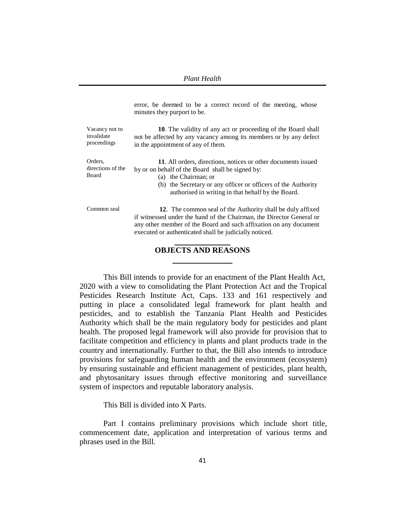error, be deemed to be a correct record of the meeting, whose minutes they purport to be.

Vacancy not to invalidate proceedings **10**. The validity of any act or proceeding of the Board shall not be affected by any vacancy among its members or by any defect in the appointment of any of them.

Orders, directions of the Board

**11**. All orders, directions, notices or other documents issued by or on behalf of the Board shall be signed by:

(a) the Chairman; or

(b) the Secretary or any officer or officers of the Authority authorised in writing in that behalf by the Board.

Common seal **12**. The common seal of the Authority shall be duly affixed if witnessed under the hand of the Chairman, the Director General or any other member of the Board and such affixation on any document executed or authenticated shall be judicially noticed.

## **OBJECTS AND REASONS**

This Bill intends to provide for an enactment of the Plant Health Act, 2020 with a view to consolidating the Plant Protection Act and the Tropical Pesticides Research Institute Act, Caps. 133 and 161 respectively and putting in place a consolidated legal framework for plant health and pesticides, and to establish the Tanzania Plant Health and Pesticides Authority which shall be the main regulatory body for pesticides and plant health. The proposed legal framework will also provide for provision that to facilitate competition and efficiency in plants and plant products trade in the country and internationally. Further to that, the Bill also intends to introduce provisions for safeguarding human health and the environment (ecosystem) by ensuring sustainable and efficient management of pesticides, plant health, and phytosanitary issues through effective monitoring and surveillance system of inspectors and reputable laboratory analysis.

This Bill is divided into X Parts.

Part I contains preliminary provisions which include short title, commencement date, application and interpretation of various terms and phrases used in the Bill.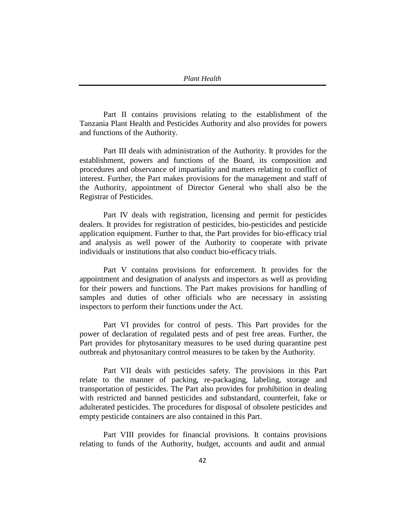Part II contains provisions relating to the establishment of the Tanzania Plant Health and Pesticides Authority and also provides for powers and functions of the Authority.

Part III deals with administration of the Authority. It provides for the establishment, powers and functions of the Board, its composition and procedures and observance of impartiality and matters relating to conflict of interest. Further, the Part makes provisions for the management and staff of the Authority, appointment of Director General who shall also be the Registrar of Pesticides.

Part IV deals with registration, licensing and permit for pesticides dealers. It provides for registration of pesticides, bio-pesticides and pesticide application equipment. Further to that, the Part provides for bio-efficacy trial and analysis as well power of the Authority to cooperate with private individuals or institutions that also conduct bio-efficacy trials.

Part V contains provisions for enforcement. It provides for the appointment and designation of analysts and inspectors as well as providing for their powers and functions. The Part makes provisions for handling of samples and duties of other officials who are necessary in assisting inspectors to perform their functions under the Act.

Part VI provides for control of pests. This Part provides for the power of declaration of regulated pests and of pest free areas. Further, the Part provides for phytosanitary measures to be used during quarantine pest outbreak and phytosanitary control measures to be taken by the Authority.

Part VII deals with pesticides safety. The provisions in this Part relate to the manner of packing, re-packaging, labeling, storage and transportation of pesticides. The Part also provides for prohibition in dealing with restricted and banned pesticides and substandard, counterfeit, fake or adulterated pesticides. The procedures for disposal of obsolete pesticides and empty pesticide containers are also contained in this Part.

Part VIII provides for financial provisions. It contains provisions relating to funds of the Authority, budget, accounts and audit and annual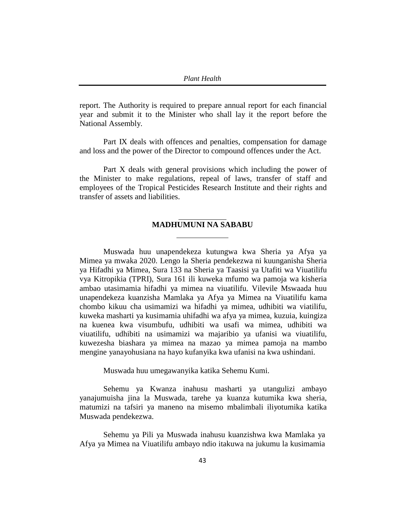report. The Authority is required to prepare annual report for each financial year and submit it to the Minister who shall lay it the report before the National Assembly.

Part IX deals with offences and penalties, compensation for damage and loss and the power of the Director to compound offences under the Act.

Part X deals with general provisions which including the power of the Minister to make regulations, repeal of laws, transfer of staff and employees of the Tropical Pesticides Research Institute and their rights and transfer of assets and liabilities.

# **MADHUMUNI NA SABABU**

Muswada huu unapendekeza kutungwa kwa Sheria ya Afya ya Mimea ya mwaka 2020. Lengo la Sheria pendekezwa ni kuunganisha Sheria ya Hifadhi ya Mimea, Sura 133 na Sheria ya Taasisi ya Utafiti wa Viuatilifu vya Kitropikia (TPRI), Sura 161 ili kuweka mfumo wa pamoja wa kisheria ambao utasimamia hifadhi ya mimea na viuatilifu. Vilevile Mswaada huu unapendekeza kuanzisha Mamlaka ya Afya ya Mimea na Viuatilifu kama chombo kikuu cha usimamizi wa hifadhi ya mimea, udhibiti wa viatilifu, kuweka masharti ya kusimamia uhifadhi wa afya ya mimea, kuzuia, kuingiza na kuenea kwa visumbufu, udhibiti wa usafi wa mimea, udhibiti wa viuatilifu, udhibiti na usimamizi wa majaribio ya ufanisi wa viuatilifu, kuwezesha biashara ya mimea na mazao ya mimea pamoja na mambo mengine yanayohusiana na hayo kufanyika kwa ufanisi na kwa ushindani.

Muswada huu umegawanyika katika Sehemu Kumi.

Sehemu ya Kwanza inahusu masharti ya utangulizi ambayo yanajumuisha jina la Muswada, tarehe ya kuanza kutumika kwa sheria, matumizi na tafsiri ya maneno na misemo mbalimbali iliyotumika katika Muswada pendekezwa.

Sehemu ya Pili ya Muswada inahusu kuanzishwa kwa Mamlaka ya Afya ya Mimea na Viuatilifu ambayo ndio itakuwa na jukumu la kusimamia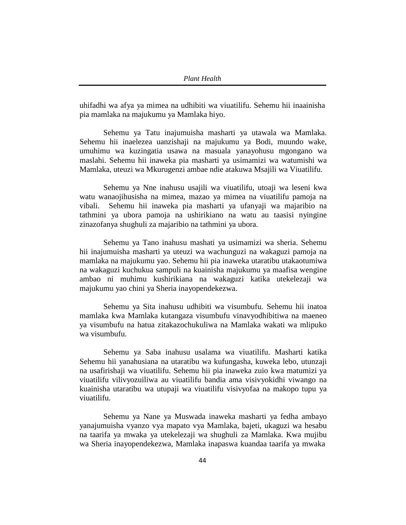uhifadhi wa afya ya mimea na udhibiti wa viuatilifu. Sehemu hii inaainisha pia mamlaka na majukumu ya Mamlaka hiyo.

Sehemu ya Tatu inajumuisha masharti ya utawala wa Mamlaka. Sehemu hii inaelezea uanzishaji na majukumu ya Bodi, muundo wake, umuhimu wa kuzingatia usawa na masuala yanayohusu mgongano wa maslahi. Sehemu hii inaweka pia masharti ya usimamizi wa watumishi wa Mamlaka, uteuzi wa Mkurugenzi ambae ndie atakuwa Msajili wa Viuatilifu.

Sehemu ya Nne inahusu usajili wa viuatilifu, utoaji wa leseni kwa watu wanaojihusisha na mimea, mazao ya mimea na viuatilifu pamoja na vibali. Sehemu hii inaweka pia masharti ya ufanyaji wa majaribio na tathmini ya ubora pamoja na ushirikiano na watu au taasisi nyingine zinazofanya shughuli za majaribio na tathmini ya ubora.

Sehemu ya Tano inahusu mashati ya usimamizi wa sheria. Sehemu hii inajumuisha masharti ya uteuzi wa wachunguzi na wakaguzi pamoja na mamlaka na majukumu yao. Sehemu hii pia inaweka utaratibu utakaotumiwa na wakaguzi kuchukua sampuli na kuainisha majukumu ya maafisa wengine ambao ni muhimu kushirikiana na wakaguzi katika utekelezaji wa majukumu yao chini ya Sheria inayopendekezwa.

Sehemu ya Sita inahusu udhibiti wa visumbufu. Sehemu hii inatoa mamlaka kwa Mamlaka kutangaza visumbufu vinavyodhibitiwa na maeneo ya visumbufu na hatua zitakazochukuliwa na Mamlaka wakati wa mlipuko wa visumbufu.

Sehemu ya Saba inahusu usalama wa viuatilifu. Masharti katika Sehemu hii yanahusiana na utaratibu wa kufungasha, kuweka lebo, utunzaji na usafirishaji wa viuatilifu. Sehemu hii pia inaweka zuio kwa matumizi ya viuatilifu vilivyozuiliwa au viuatilifu bandia ama visivyokidhi viwango na kuainisha utaratibu wa utupaji wa viuatilifu visivyofaa na makopo tupu ya viuatilifu.

Sehemu ya Nane ya Muswada inaweka masharti ya fedha ambayo yanajumuisha vyanzo vya mapato vya Mamlaka, bajeti, ukaguzi wa hesabu na taarifa ya mwaka ya utekelezaji wa shughuli za Mamlaka. Kwa mujibu wa Sheria inayopendekezwa, Mamlaka inapaswa kuandaa taarifa ya mwaka